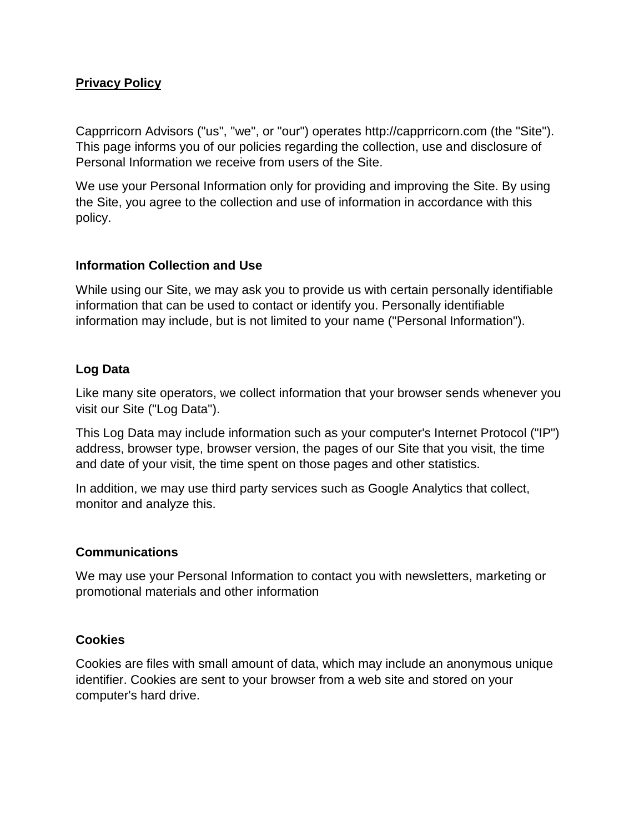### **Privacy Policy**

Capprricorn Advisors ("us", "we", or "our") operates http://capprricorn.com (the "Site"). This page informs you of our policies regarding the collection, use and disclosure of Personal Information we receive from users of the Site.

We use your Personal Information only for providing and improving the Site. By using the Site, you agree to the collection and use of information in accordance with this policy.

#### **Information Collection and Use**

While using our Site, we may ask you to provide us with certain personally identifiable information that can be used to contact or identify you. Personally identifiable information may include, but is not limited to your name ("Personal Information").

### **Log Data**

Like many site operators, we collect information that your browser sends whenever you visit our Site ("Log Data").

This Log Data may include information such as your computer's Internet Protocol ("IP") address, browser type, browser version, the pages of our Site that you visit, the time and date of your visit, the time spent on those pages and other statistics.

In addition, we may use third party services such as Google Analytics that collect, monitor and analyze this.

#### **Communications**

We may use your Personal Information to contact you with newsletters, marketing or promotional materials and other information

#### **Cookies**

Cookies are files with small amount of data, which may include an anonymous unique identifier. Cookies are sent to your browser from a web site and stored on your computer's hard drive.